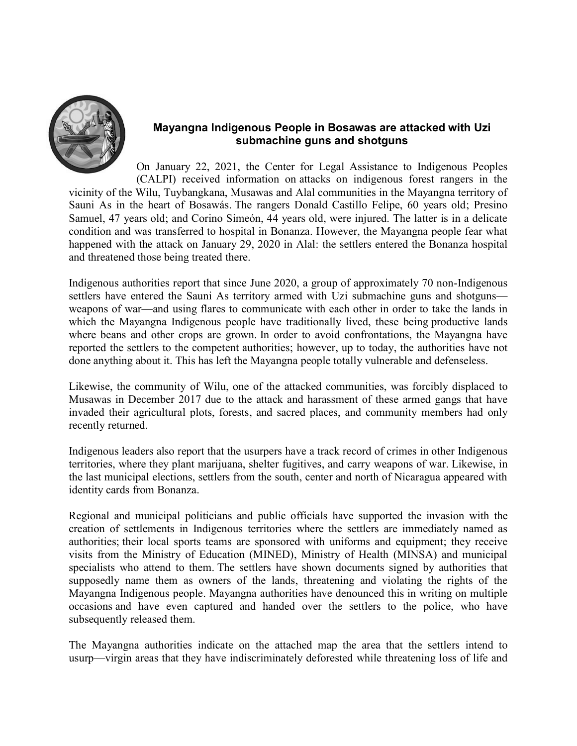

## Mayangna Indigenous People in Bosawas are attacked with Uzi submachine guns and shotguns

On January 22, 2021, the Center for Legal Assistance to Indigenous Peoples (CALPI) received information on attacks on indigenous forest rangers in the vicinity of the Wilu, Tuybangkana, Musawas and Alal communities in the Mayangna territory of Sauni As in the heart of Bosawás. The rangers Donald Castillo Felipe, 60 years old; Presino Samuel, 47 years old; and Corino Simeón, 44 years old, were injured. The latter is in a delicate condition and was transferred to hospital in Bonanza. However, the Mayangna people fear what happened with the attack on January 29, 2020 in Alal: the settlers entered the Bonanza hospital and threatened those being treated there.

Indigenous authorities report that since June 2020, a group of approximately 70 non-Indigenous settlers have entered the Sauni As territory armed with Uzi submachine guns and shotguns weapons of war—and using flares to communicate with each other in order to take the lands in which the Mayangna Indigenous people have traditionally lived, these being productive lands where beans and other crops are grown. In order to avoid confrontations, the Mayangna have reported the settlers to the competent authorities; however, up to today, the authorities have not done anything about it. This has left the Mayangna people totally vulnerable and defenseless.

Likewise, the community of Wilu, one of the attacked communities, was forcibly displaced to Musawas in December 2017 due to the attack and harassment of these armed gangs that have invaded their agricultural plots, forests, and sacred places, and community members had only recently returned.

Indigenous leaders also report that the usurpers have a track record of crimes in other Indigenous territories, where they plant marijuana, shelter fugitives, and carry weapons of war. Likewise, in the last municipal elections, settlers from the south, center and north of Nicaragua appeared with identity cards from Bonanza.

Regional and municipal politicians and public officials have supported the invasion with the creation of settlements in Indigenous territories where the settlers are immediately named as authorities; their local sports teams are sponsored with uniforms and equipment; they receive visits from the Ministry of Education (MINED), Ministry of Health (MINSA) and municipal specialists who attend to them. The settlers have shown documents signed by authorities that supposedly name them as owners of the lands, threatening and violating the rights of the Mayangna Indigenous people. Mayangna authorities have denounced this in writing on multiple occasions and have even captured and handed over the settlers to the police, who have subsequently released them.

The Mayangna authorities indicate on the attached map the area that the settlers intend to usurp—virgin areas that they have indiscriminately deforested while threatening loss of life and